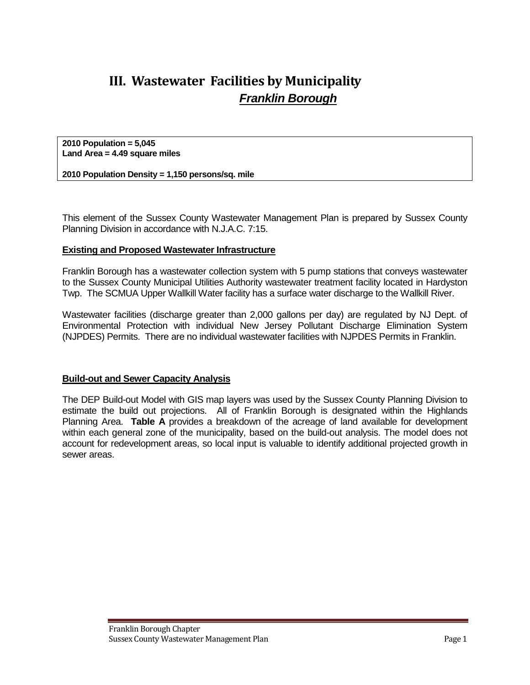# **III. Wastewater Facilities by Municipality** *Franklin Borough*

**2010 Population = 5,045 Land Area = 4.49 square miles**

**2010 Population Density = 1,150 persons/sq. mile**

This element of the Sussex County Wastewater Management Plan is prepared by Sussex County Planning Division in accordance with N.J.A.C. 7:15.

## **Existing and Proposed Wastewater Infrastructure**

Franklin Borough has a wastewater collection system with 5 pump stations that conveys wastewater to the Sussex County Municipal Utilities Authority wastewater treatment facility located in Hardyston Twp. The SCMUA Upper Wallkill Water facility has a surface water discharge to the Wallkill River.

Wastewater facilities (discharge greater than 2,000 gallons per day) are regulated by NJ Dept. of Environmental Protection with individual New Jersey Pollutant Discharge Elimination System (NJPDES) Permits. There are no individual wastewater facilities with NJPDES Permits in Franklin.

### **Build-out and Sewer Capacity Analysis**

The DEP Build-out Model with GIS map layers was used by the Sussex County Planning Division to estimate the build out projections. All of Franklin Borough is designated within the Highlands Planning Area. **Table A** provides a breakdown of the acreage of land available for development within each general zone of the municipality, based on the build-out analysis. The model does not account for redevelopment areas, so local input is valuable to identify additional projected growth in sewer areas.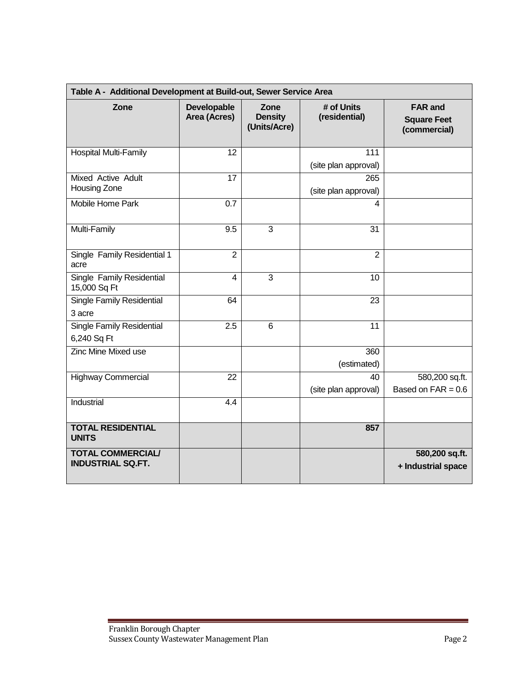| Table A - Additional Development at Build-out, Sewer Service Area |                                    |                                        |                             |                                                      |  |  |  |  |  |  |
|-------------------------------------------------------------------|------------------------------------|----------------------------------------|-----------------------------|------------------------------------------------------|--|--|--|--|--|--|
| Zone                                                              | <b>Developable</b><br>Area (Acres) | Zone<br><b>Density</b><br>(Units/Acre) | # of Units<br>(residential) | <b>FAR and</b><br><b>Square Feet</b><br>(commercial) |  |  |  |  |  |  |
| <b>Hospital Multi-Family</b>                                      | 12                                 |                                        | 111                         |                                                      |  |  |  |  |  |  |
|                                                                   |                                    |                                        | (site plan approval)        |                                                      |  |  |  |  |  |  |
| <b>Mixed Active Adult</b><br>Housing Zone                         | 17                                 |                                        | 265<br>(site plan approval) |                                                      |  |  |  |  |  |  |
| <b>Mobile Home Park</b>                                           | 0.7                                |                                        | 4                           |                                                      |  |  |  |  |  |  |
| Multi-Family                                                      | 9.5                                | 3                                      | 31                          |                                                      |  |  |  |  |  |  |
| Single Family Residential 1<br>acre                               | $\overline{2}$                     |                                        | $\overline{2}$              |                                                      |  |  |  |  |  |  |
| Single Family Residential<br>15,000 Sq Ft                         | 4                                  | 3                                      | 10                          |                                                      |  |  |  |  |  |  |
| <b>Single Family Residential</b><br>3 acre                        | 64                                 |                                        | 23                          |                                                      |  |  |  |  |  |  |
| <b>Single Family Residential</b><br>6,240 Sq Ft                   | $\overline{2.5}$                   | 6                                      | $\overline{11}$             |                                                      |  |  |  |  |  |  |
| <b>Zinc Mine Mixed use</b>                                        |                                    |                                        | 360                         |                                                      |  |  |  |  |  |  |
|                                                                   |                                    |                                        | (estimated)                 |                                                      |  |  |  |  |  |  |
| <b>Highway Commercial</b>                                         | 22                                 |                                        | 40                          | 580,200 sq.ft.                                       |  |  |  |  |  |  |
|                                                                   |                                    |                                        | (site plan approval)        | Based on $FAR = 0.6$                                 |  |  |  |  |  |  |
| Industrial                                                        | 4.4                                |                                        |                             |                                                      |  |  |  |  |  |  |
| <b>TOTAL RESIDENTIAL</b><br><b>UNITS</b>                          |                                    |                                        | 857                         |                                                      |  |  |  |  |  |  |
| <b>TOTAL COMMERCIAL/</b><br><b>INDUSTRIAL SQ.FT.</b>              |                                    |                                        |                             | 580,200 sq.ft.<br>+ Industrial space                 |  |  |  |  |  |  |